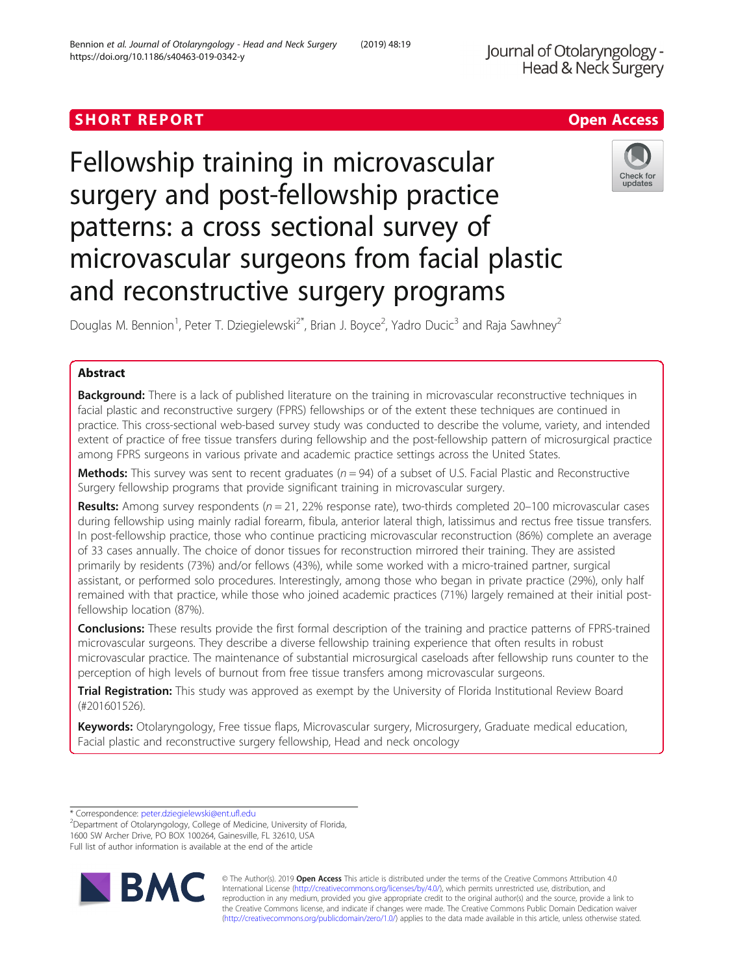# SHORT REPORT **SHORT CONSUMERS AND ACCESS**

# Fellowship training in microvascular surgery and post-fellowship practice patterns: a cross sectional survey of microvascular surgeons from facial plastic and reconstructive surgery programs

Douglas M. Bennion<sup>1</sup>, Peter T. Dziegielewski<sup>2\*</sup>, Brian J. Boyce<sup>2</sup>, Yadro Ducic<sup>3</sup> and Raja Sawhney<sup>2</sup>

# Abstract

Background: There is a lack of published literature on the training in microvascular reconstructive techniques in facial plastic and reconstructive surgery (FPRS) fellowships or of the extent these techniques are continued in practice. This cross-sectional web-based survey study was conducted to describe the volume, variety, and intended extent of practice of free tissue transfers during fellowship and the post-fellowship pattern of microsurgical practice among FPRS surgeons in various private and academic practice settings across the United States.

**Methods:** This survey was sent to recent graduates ( $n = 94$ ) of a subset of U.S. Facial Plastic and Reconstructive Surgery fellowship programs that provide significant training in microvascular surgery.

Results: Among survey respondents ( $n = 21$ , 22% response rate), two-thirds completed 20–100 microvascular cases during fellowship using mainly radial forearm, fibula, anterior lateral thigh, latissimus and rectus free tissue transfers. In post-fellowship practice, those who continue practicing microvascular reconstruction (86%) complete an average of 33 cases annually. The choice of donor tissues for reconstruction mirrored their training. They are assisted primarily by residents (73%) and/or fellows (43%), while some worked with a micro-trained partner, surgical assistant, or performed solo procedures. Interestingly, among those who began in private practice (29%), only half remained with that practice, while those who joined academic practices (71%) largely remained at their initial postfellowship location (87%).

**Conclusions:** These results provide the first formal description of the training and practice patterns of FPRS-trained microvascular surgeons. They describe a diverse fellowship training experience that often results in robust microvascular practice. The maintenance of substantial microsurgical caseloads after fellowship runs counter to the perception of high levels of burnout from free tissue transfers among microvascular surgeons.

Trial Registration: This study was approved as exempt by the University of Florida Institutional Review Board (#201601526).

Keywords: Otolaryngology, Free tissue flaps, Microvascular surgery, Microsurgery, Graduate medical education, Facial plastic and reconstructive surgery fellowship, Head and neck oncology

\* Correspondence: [peter.dziegielewski@ent.ufl.edu](mailto:peter.dziegielewski@ent.ufl.edu) <sup>2</sup>

© The Author(s). 2019 **Open Access** This article is distributed under the terms of the Creative Commons Attribution 4.0 International License [\(http://creativecommons.org/licenses/by/4.0/](http://creativecommons.org/licenses/by/4.0/)), which permits unrestricted use, distribution, and reproduction in any medium, provided you give appropriate credit to the original author(s) and the source, provide a link to the Creative Commons license, and indicate if changes were made. The Creative Commons Public Domain Dedication waiver [\(http://creativecommons.org/publicdomain/zero/1.0/](http://creativecommons.org/publicdomain/zero/1.0/)) applies to the data made available in this article, unless otherwise stated.





<sup>&</sup>lt;sup>2</sup>Department of Otolaryngology, College of Medicine, University of Florida, 1600 SW Archer Drive, PO BOX 100264, Gainesville, FL 32610, USA Full list of author information is available at the end of the article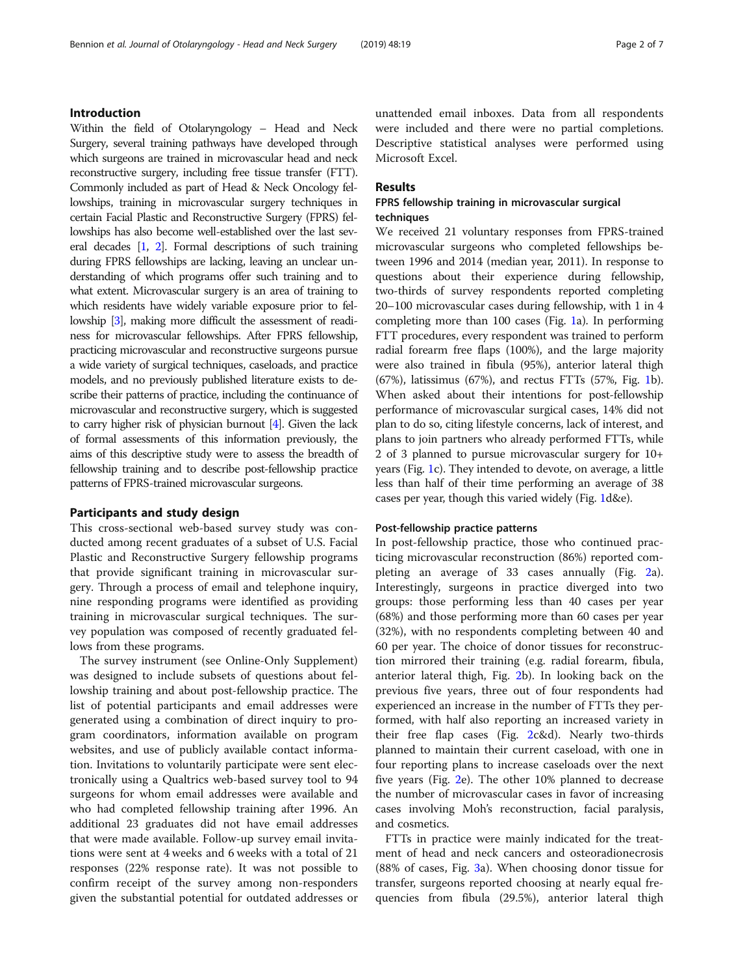# Introduction

Within the field of Otolaryngology – Head and Neck Surgery, several training pathways have developed through which surgeons are trained in microvascular head and neck reconstructive surgery, including free tissue transfer (FTT). Commonly included as part of Head & Neck Oncology fellowships, training in microvascular surgery techniques in certain Facial Plastic and Reconstructive Surgery (FPRS) fellowships has also become well-established over the last several decades [\[1,](#page-5-0) [2\]](#page-5-0). Formal descriptions of such training during FPRS fellowships are lacking, leaving an unclear understanding of which programs offer such training and to what extent. Microvascular surgery is an area of training to which residents have widely variable exposure prior to fellowship [\[3](#page-6-0)], making more difficult the assessment of readiness for microvascular fellowships. After FPRS fellowship, practicing microvascular and reconstructive surgeons pursue a wide variety of surgical techniques, caseloads, and practice models, and no previously published literature exists to describe their patterns of practice, including the continuance of microvascular and reconstructive surgery, which is suggested to carry higher risk of physician burnout [\[4\]](#page-6-0). Given the lack of formal assessments of this information previously, the aims of this descriptive study were to assess the breadth of fellowship training and to describe post-fellowship practice patterns of FPRS-trained microvascular surgeons.

#### Participants and study design

This cross-sectional web-based survey study was conducted among recent graduates of a subset of U.S. Facial Plastic and Reconstructive Surgery fellowship programs that provide significant training in microvascular surgery. Through a process of email and telephone inquiry, nine responding programs were identified as providing training in microvascular surgical techniques. The survey population was composed of recently graduated fellows from these programs.

The survey instrument (see Online-Only Supplement) was designed to include subsets of questions about fellowship training and about post-fellowship practice. The list of potential participants and email addresses were generated using a combination of direct inquiry to program coordinators, information available on program websites, and use of publicly available contact information. Invitations to voluntarily participate were sent electronically using a Qualtrics web-based survey tool to 94 surgeons for whom email addresses were available and who had completed fellowship training after 1996. An additional 23 graduates did not have email addresses that were made available. Follow-up survey email invitations were sent at 4 weeks and 6 weeks with a total of 21 responses (22% response rate). It was not possible to confirm receipt of the survey among non-responders given the substantial potential for outdated addresses or unattended email inboxes. Data from all respondents were included and there were no partial completions. Descriptive statistical analyses were performed using Microsoft Excel.

# Results

# FPRS fellowship training in microvascular surgical techniques

We received 21 voluntary responses from FPRS-trained microvascular surgeons who completed fellowships between 1996 and 2014 (median year, 2011). In response to questions about their experience during fellowship, two-thirds of survey respondents reported completing 20–100 microvascular cases during fellowship, with 1 in 4 completing more than 100 cases (Fig. [1](#page-2-0)a). In performing FTT procedures, every respondent was trained to perform radial forearm free flaps (100%), and the large majority were also trained in fibula (95%), anterior lateral thigh  $(67%)$ , latissimus  $(67%)$ , and rectus FTTs  $(57%$ , Fig. [1](#page-2-0)b). When asked about their intentions for post-fellowship performance of microvascular surgical cases, 14% did not plan to do so, citing lifestyle concerns, lack of interest, and plans to join partners who already performed FTTs, while 2 of 3 planned to pursue microvascular surgery for 10+ years (Fig. [1](#page-2-0)c). They intended to devote, on average, a little less than half of their time performing an average of 38 cases per year, though this varied widely (Fig. [1d](#page-2-0)&e).

# Post-fellowship practice patterns

In post-fellowship practice, those who continued practicing microvascular reconstruction (86%) reported completing an average of 33 cases annually (Fig. [2a](#page-3-0)). Interestingly, surgeons in practice diverged into two groups: those performing less than 40 cases per year (68%) and those performing more than 60 cases per year (32%), with no respondents completing between 40 and 60 per year. The choice of donor tissues for reconstruction mirrored their training (e.g. radial forearm, fibula, anterior lateral thigh, Fig. [2b](#page-3-0)). In looking back on the previous five years, three out of four respondents had experienced an increase in the number of FTTs they performed, with half also reporting an increased variety in their free flap cases (Fig. [2](#page-3-0)c&d). Nearly two-thirds planned to maintain their current caseload, with one in four reporting plans to increase caseloads over the next five years (Fig. [2](#page-3-0)e). The other 10% planned to decrease the number of microvascular cases in favor of increasing cases involving Moh's reconstruction, facial paralysis, and cosmetics.

FTTs in practice were mainly indicated for the treatment of head and neck cancers and osteoradionecrosis (88% of cases, Fig. [3a](#page-4-0)). When choosing donor tissue for transfer, surgeons reported choosing at nearly equal frequencies from fibula (29.5%), anterior lateral thigh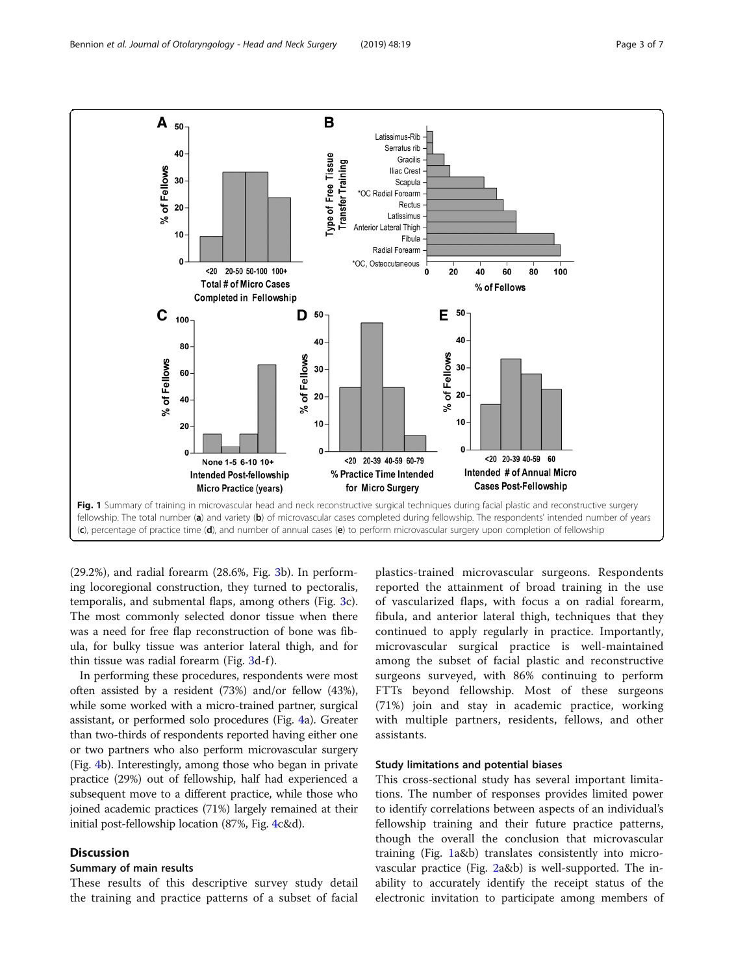<span id="page-2-0"></span>

(29.2%), and radial forearm (28.6%, Fig. [3b](#page-4-0)). In performing locoregional construction, they turned to pectoralis, temporalis, and submental flaps, among others (Fig. [3c](#page-4-0)). The most commonly selected donor tissue when there was a need for free flap reconstruction of bone was fibula, for bulky tissue was anterior lateral thigh, and for thin tissue was radial forearm (Fig. [3d](#page-4-0)-f).

In performing these procedures, respondents were most often assisted by a resident (73%) and/or fellow (43%), while some worked with a micro-trained partner, surgical assistant, or performed solo procedures (Fig. [4](#page-5-0)a). Greater than two-thirds of respondents reported having either one or two partners who also perform microvascular surgery (Fig. [4b](#page-5-0)). Interestingly, among those who began in private practice (29%) out of fellowship, half had experienced a subsequent move to a different practice, while those who joined academic practices (71%) largely remained at their initial post-fellowship location (87%, Fig. [4c](#page-5-0)&d).

# **Discussion**

# Summary of main results

These results of this descriptive survey study detail the training and practice patterns of a subset of facial

plastics-trained microvascular surgeons. Respondents reported the attainment of broad training in the use of vascularized flaps, with focus a on radial forearm, fibula, and anterior lateral thigh, techniques that they continued to apply regularly in practice. Importantly, microvascular surgical practice is well-maintained among the subset of facial plastic and reconstructive surgeons surveyed, with 86% continuing to perform FTTs beyond fellowship. Most of these surgeons (71%) join and stay in academic practice, working with multiple partners, residents, fellows, and other assistants.

# Study limitations and potential biases

This cross-sectional study has several important limitations. The number of responses provides limited power to identify correlations between aspects of an individual's fellowship training and their future practice patterns, though the overall the conclusion that microvascular training (Fig. 1a&b) translates consistently into microvascular practice (Fig. [2](#page-3-0)a&b) is well-supported. The inability to accurately identify the receipt status of the electronic invitation to participate among members of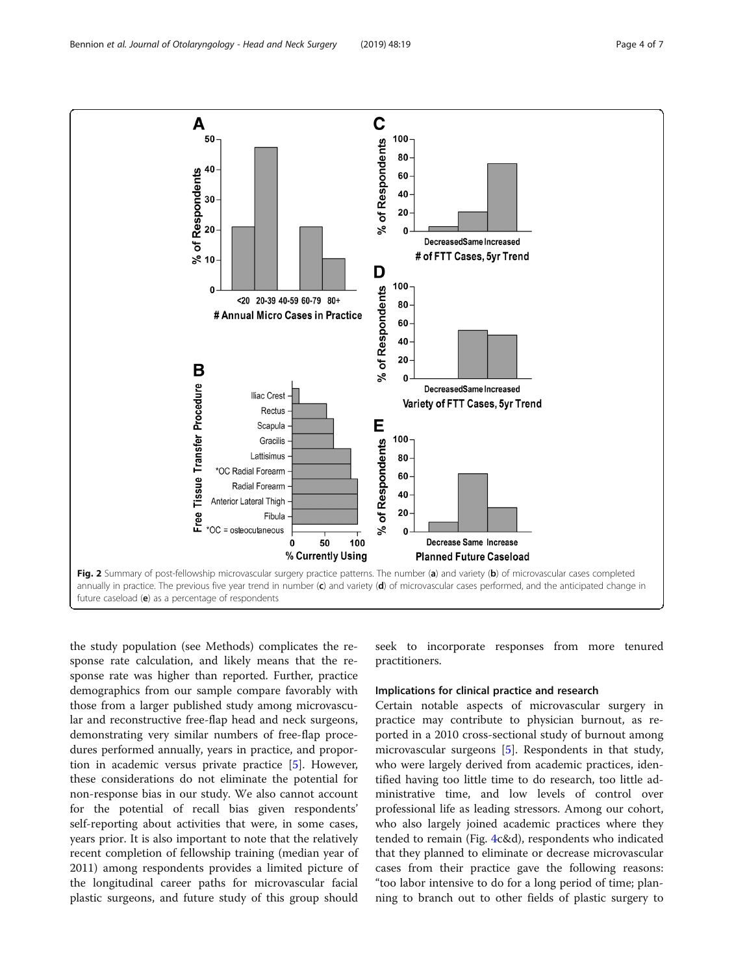20 ని 10

Scapula

Gracilis

Fibula

 $\mathbf{0}$ 

50

% Currently Using

Lattisimus

\*OC Radial Forearm

Anterior Lateral Thigh

\*OC = osteocutaneous

Radial Forearm

the study population (see Methods) complicates the response rate calculation, and likely means that the response rate was higher than reported. Further, practice demographics from our sample compare favorably with those from a larger published study among microvascular and reconstructive free-flap head and neck surgeons, demonstrating very similar numbers of free-flap procedures performed annually, years in practice, and proportion in academic versus private practice [\[5](#page-6-0)]. However, these considerations do not eliminate the potential for non-response bias in our study. We also cannot account for the potential of recall bias given respondents' self-reporting about activities that were, in some cases, years prior. It is also important to note that the relatively recent completion of fellowship training (median year of 2011) among respondents provides a limited picture of the longitudinal career paths for microvascular facial

future caseload (e) as a percentage of respondents

plastic surgeons, and future study of this group should

seek to incorporate responses from more tenured practitioners.

# Implications for clinical practice and research

Decrease Same Increase

**Planned Future Caseload** 

Certain notable aspects of microvascular surgery in practice may contribute to physician burnout, as reported in a 2010 cross-sectional study of burnout among microvascular surgeons [\[5](#page-6-0)]. Respondents in that study, who were largely derived from academic practices, identified having too little time to do research, too little administrative time, and low levels of control over professional life as leading stressors. Among our cohort, who also largely joined academic practices where they tended to remain (Fig. [4c](#page-5-0)&d), respondents who indicated that they planned to eliminate or decrease microvascular cases from their practice gave the following reasons: "too labor intensive to do for a long period of time; planning to branch out to other fields of plastic surgery to

<span id="page-3-0"></span>

Fig. 2 Summary of post-fellowship microvascular surgery practice patterns. The number (a) and variety (b) of microvascular cases completed annually in practice. The previous five year trend in number  $(c)$  and variety  $(d)$  of microvascular cases performed, and the anticipated change in

100

Е

of Respondents

ಸಿ

100

80

60

40

20

 $\Omega$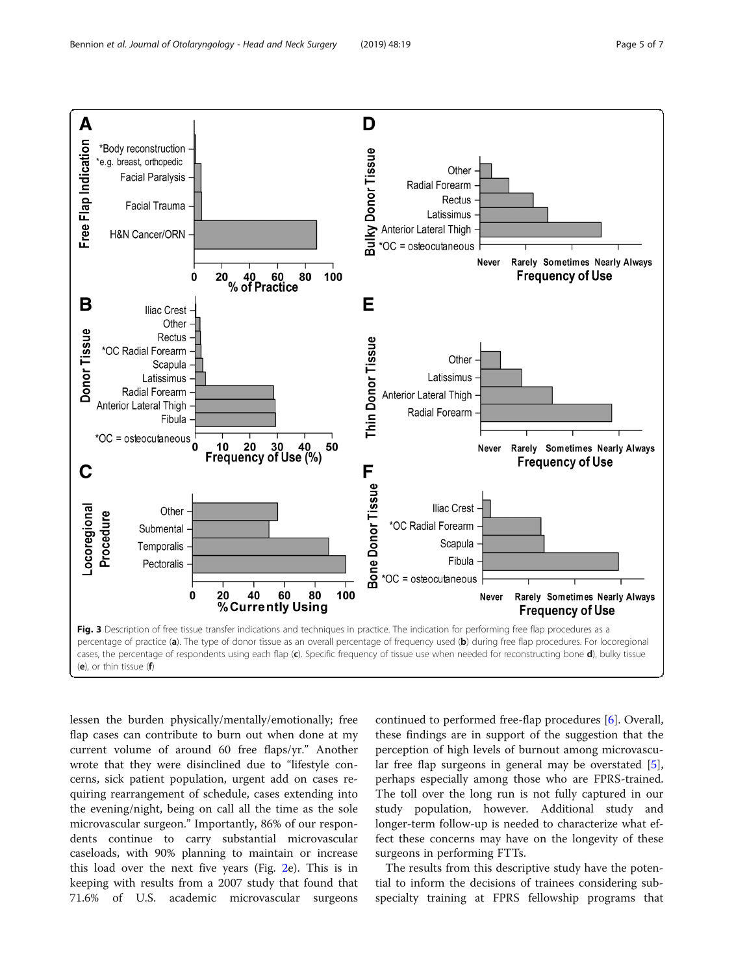<span id="page-4-0"></span>

lessen the burden physically/mentally/emotionally; free flap cases can contribute to burn out when done at my current volume of around 60 free flaps/yr." Another wrote that they were disinclined due to "lifestyle concerns, sick patient population, urgent add on cases requiring rearrangement of schedule, cases extending into the evening/night, being on call all the time as the sole microvascular surgeon." Importantly, 86% of our respondents continue to carry substantial microvascular caseloads, with 90% planning to maintain or increase this load over the next five years (Fig. [2e](#page-3-0)). This is in keeping with results from a 2007 study that found that 71.6% of U.S. academic microvascular surgeons

continued to performed free-flap procedures [[6\]](#page-6-0). Overall, these findings are in support of the suggestion that the perception of high levels of burnout among microvascular free flap surgeons in general may be overstated [\[5](#page-6-0)], perhaps especially among those who are FPRS-trained. The toll over the long run is not fully captured in our study population, however. Additional study and longer-term follow-up is needed to characterize what effect these concerns may have on the longevity of these surgeons in performing FTTs.

The results from this descriptive study have the potential to inform the decisions of trainees considering subspecialty training at FPRS fellowship programs that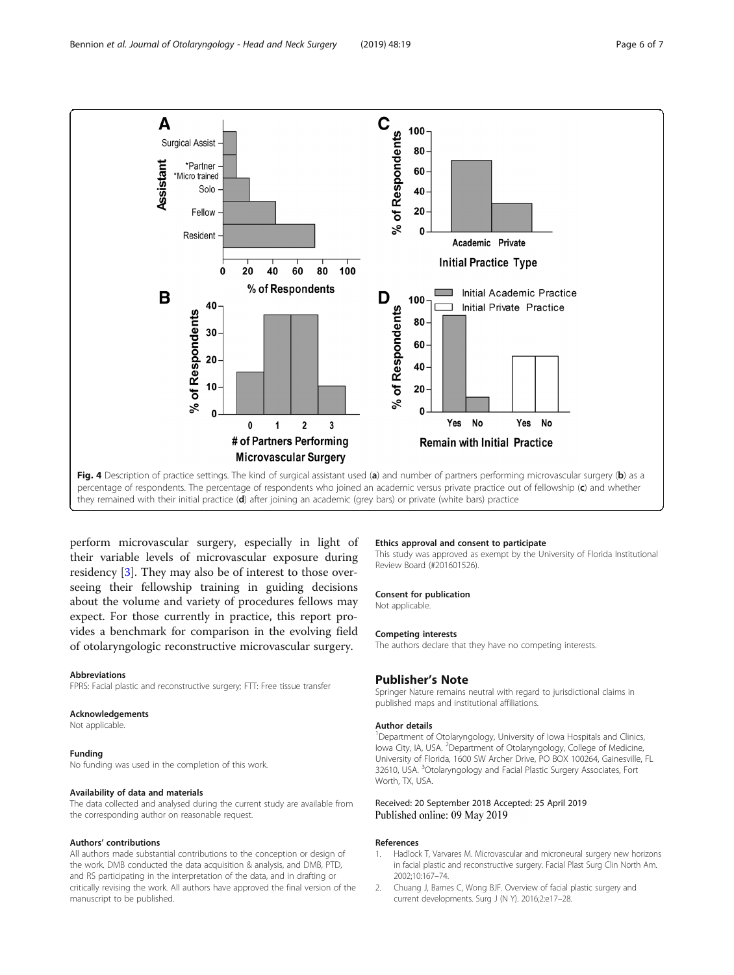<span id="page-5-0"></span>

percentage of respondents. The percentage of respondents who joined an academic versus private practice out of fellowship (c) and whether they remained with their initial practice (d) after joining an academic (grey bars) or private (white bars) practice

perform microvascular surgery, especially in light of their variable levels of microvascular exposure during residency [\[3\]](#page-6-0). They may also be of interest to those overseeing their fellowship training in guiding decisions about the volume and variety of procedures fellows may expect. For those currently in practice, this report provides a benchmark for comparison in the evolving field of otolaryngologic reconstructive microvascular surgery.

#### Abbreviations

FPRS: Facial plastic and reconstructive surgery; FTT: Free tissue transfer

#### Acknowledgements

Not applicable.

#### Funding

No funding was used in the completion of this work.

# Availability of data and materials

The data collected and analysed during the current study are available from the corresponding author on reasonable request.

#### Authors' contributions

All authors made substantial contributions to the conception or design of the work. DMB conducted the data acquisition & analysis, and DMB, PTD, and RS participating in the interpretation of the data, and in drafting or critically revising the work. All authors have approved the final version of the manuscript to be published.

#### Ethics approval and consent to participate

This study was approved as exempt by the University of Florida Institutional Review Board (#201601526).

#### Consent for publication

Not applicable.

#### Competing interests

The authors declare that they have no competing interests.

# Publisher's Note

Springer Nature remains neutral with regard to jurisdictional claims in published maps and institutional affiliations.

### Author details

<sup>1</sup>Department of Otolaryngology, University of Iowa Hospitals and Clinics lowa City, IA, USA. <sup>2</sup>Department of Otolaryngology, College of Medicine University of Florida, 1600 SW Archer Drive, PO BOX 100264, Gainesville, FL 32610, USA. <sup>3</sup>Otolaryngology and Facial Plastic Surgery Associates, Fort Worth, TX, USA.

#### Received: 20 September 2018 Accepted: 25 April 2019 Published online: 09 May 2019

#### References

- 1. Hadlock T, Varvares M. Microvascular and microneural surgery new horizons in facial plastic and reconstructive surgery. Facial Plast Surg Clin North Am. 2002;10:167–74.
- 2. Chuang J, Barnes C, Wong BJF. Overview of facial plastic surgery and current developments. Surg J (N Y). 2016;2:e17–28.